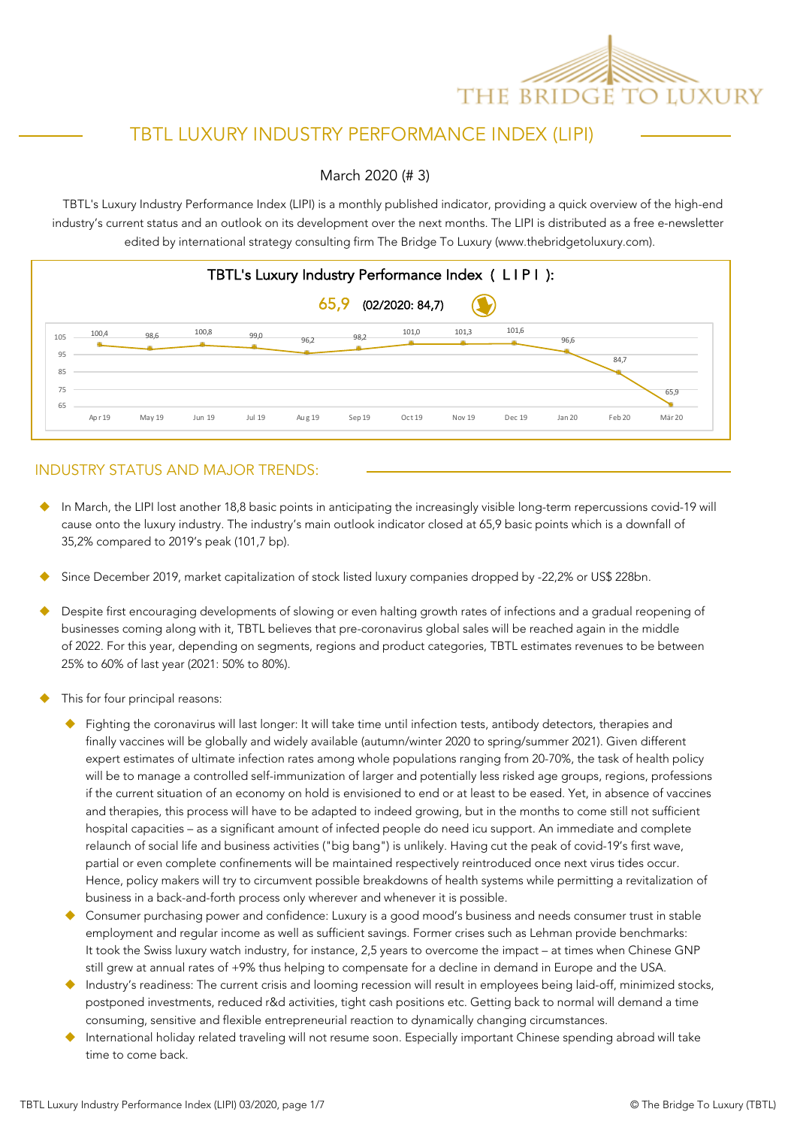

## TBTL LUXURY INDUSTRY PERFORMANCE INDEX (LIPI)

#### March 2020 (# 3)

TBTL's Luxury Industry Performance Index (LIPI) is a monthly published indicator, providing a quick overview of the high-end industry's current status and an outlook on its development over the next months. The LIPI is distributed as a free e-newsletter edited by international strategy consulting firm The Bridge To Luxury (www.thebridgetoluxury.com).

| TBTL's Luxury Industry Performance Index (LIPI): |        |        |        |        |         |        |        |        |               |        |        |                |
|--------------------------------------------------|--------|--------|--------|--------|---------|--------|--------|--------|---------------|--------|--------|----------------|
| $65,9$ (02/2020: 84,7)                           |        |        |        |        |         |        |        |        |               |        |        |                |
| 105<br>95<br>85                                  | 100,4  | 98,6   | 100,8  | 99,0   | 96,2    | 98,2   | 101,0  | 101,3  | 101,6         | 96,6   | 84,7   |                |
| 75<br>65                                         | Apr 19 | May 19 | Jun 19 | Jul 19 | Au g 19 | Sep 19 | Oct 19 | Nov 19 | <b>Dec 19</b> | Jan 20 | Feb 20 | 65,9<br>Mär 20 |

#### INDUSTRY STATUS AND MAJOR TRENDS:

- In March, the LIPI lost another 18,8 basic points in anticipating the increasingly visible long-term repercussions covid-19 will cause onto the luxury industry. The industry's main outlook indicator closed at 65,9 basic points which is a downfall of 35,2% compared to 2019's peak (101,7 bp).
- Since December 2019, market capitalization of stock listed luxury companies dropped by -22,2% or US\$ 228bn.
- Despite first encouraging developments of slowing or even halting growth rates of infections and a gradual reopening of businesses coming along with it, TBTL believes that pre-coronavirus global sales will be reached again in the middle of 2022. For this year, depending on segments, regions and product categories, TBTL estimates revenues to be between 25% to 60% of last year (2021: 50% to 80%).
- This for four principal reasons:
	- Fighting the coronavirus will last longer: It will take time until infection tests, antibody detectors, therapies and finally vaccines will be globally and widely available (autumn/winter 2020 to spring/summer 2021). Given different expert estimates of ultimate infection rates among whole populations ranging from 20-70%, the task of health policy will be to manage a controlled self-immunization of larger and potentially less risked age groups, regions, professions if the current situation of an economy on hold is envisioned to end or at least to be eased. Yet, in absence of vaccines and therapies, this process will have to be adapted to indeed growing, but in the months to come still not sufficient hospital capacities – as a significant amount of infected people do need icu support. An immediate and complete relaunch of social life and business activities ("big bang") is unlikely. Having cut the peak of covid-19's first wave, partial or even complete confinements will be maintained respectively reintroduced once next virus tides occur. Hence, policy makers will try to circumvent possible breakdowns of health systems while permitting a revitalization of business in a back-and-forth process only wherever and whenever it is possible.
	- Consumer purchasing power and confidence: Luxury is a good mood's business and needs consumer trust in stable employment and regular income as well as sufficient savings. Former crises such as Lehman provide benchmarks: It took the Swiss luxury watch industry, for instance, 2,5 years to overcome the impact – at times when Chinese GNP still grew at annual rates of +9% thus helping to compensate for a decline in demand in Europe and the USA.
	- u Industry's readiness: The current crisis and looming recession will result in employees being laid-off, minimized stocks, postponed investments, reduced r&d activities, tight cash positions etc. Getting back to normal will demand a time consuming, sensitive and flexible entrepreneurial reaction to dynamically changing circumstances.
	- International holiday related traveling will not resume soon. Especially important Chinese spending abroad will take time to come back.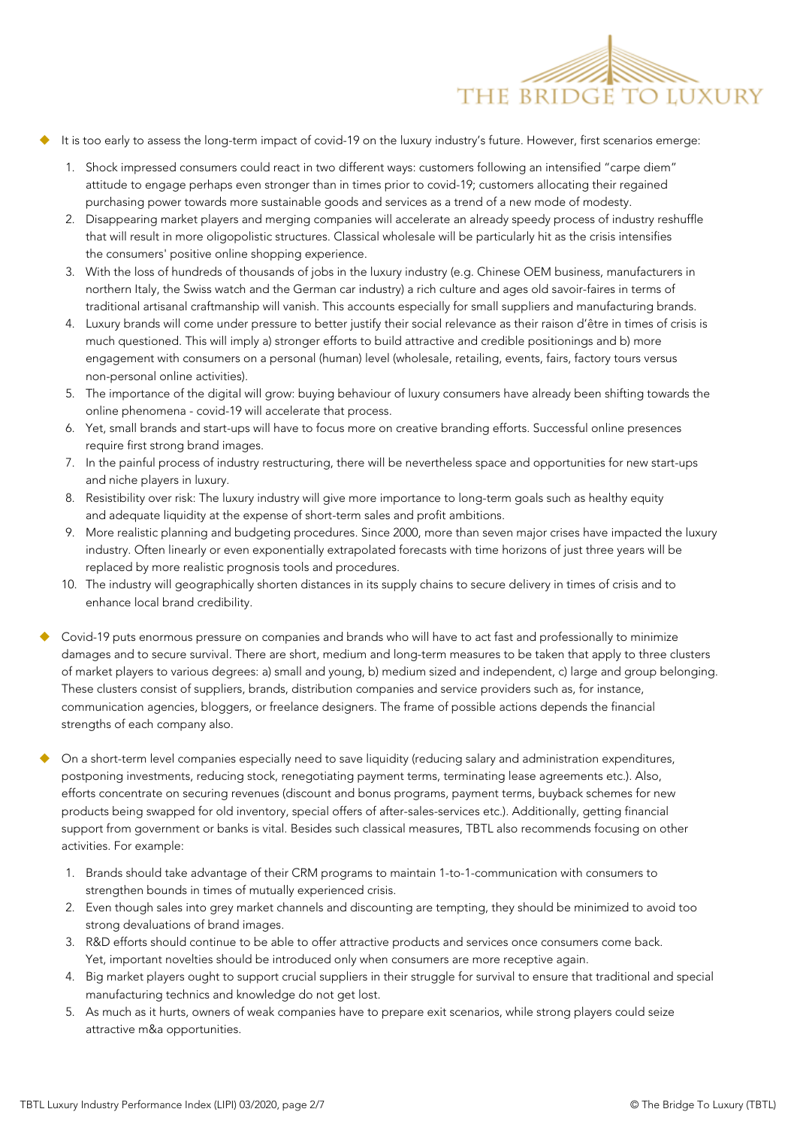

- It is too early to assess the long-term impact of covid-19 on the luxury industry's future. However, first scenarios emerge:
	- 1. Shock impressed consumers could react in two different ways: customers following an intensified "carpe diem" attitude to engage perhaps even stronger than in times prior to covid-19; customers allocating their regained purchasing power towards more sustainable goods and services as a trend of a new mode of modesty.
	- 2. Disappearing market players and merging companies will accelerate an already speedy process of industry reshuffle that will result in more oligopolistic structures. Classical wholesale will be particularly hit as the crisis intensifies the consumers' positive online shopping experience.
	- 3. With the loss of hundreds of thousands of jobs in the luxury industry (e.g. Chinese OEM business, manufacturers in northern Italy, the Swiss watch and the German car industry) a rich culture and ages old savoir-faires in terms of traditional artisanal craftmanship will vanish. This accounts especially for small suppliers and manufacturing brands.
	- 4. Luxury brands will come under pressure to better justify their social relevance as their raison d'être in times of crisis is much questioned. This will imply a) stronger efforts to build attractive and credible positionings and b) more engagement with consumers on a personal (human) level (wholesale, retailing, events, fairs, factory tours versus non-personal online activities).
	- 5. The importance of the digital will grow: buying behaviour of luxury consumers have already been shifting towards the online phenomena - covid-19 will accelerate that process.
	- 6. Yet, small brands and start-ups will have to focus more on creative branding efforts. Successful online presences require first strong brand images.
	- 7. In the painful process of industry restructuring, there will be nevertheless space and opportunities for new start-ups and niche players in luxury.
	- 8. Resistibility over risk: The luxury industry will give more importance to long-term goals such as healthy equity and adequate liquidity at the expense of short-term sales and profit ambitions.
	- 9. More realistic planning and budgeting procedures. Since 2000, more than seven major crises have impacted the luxury industry. Often linearly or even exponentially extrapolated forecasts with time horizons of just three years will be replaced by more realistic prognosis tools and procedures.
	- 10. The industry will geographically shorten distances in its supply chains to secure delivery in times of crisis and to enhance local brand credibility.
- Covid-19 puts enormous pressure on companies and brands who will have to act fast and professionally to minimize damages and to secure survival. There are short, medium and long-term measures to be taken that apply to three clusters of market players to various degrees: a) small and young, b) medium sized and independent, c) large and group belonging. These clusters consist of suppliers, brands, distribution companies and service providers such as, for instance, communication agencies, bloggers, or freelance designers. The frame of possible actions depends the financial strengths of each company also.
- On a short-term level companies especially need to save liquidity (reducing salary and administration expenditures, postponing investments, reducing stock, renegotiating payment terms, terminating lease agreements etc.). Also, efforts concentrate on securing revenues (discount and bonus programs, payment terms, buyback schemes for new products being swapped for old inventory, special offers of after-sales-services etc.). Additionally, getting financial support from government or banks is vital. Besides such classical measures, TBTL also recommends focusing on other activities. For example:
	- 1. Brands should take advantage of their CRM programs to maintain 1-to-1-communication with consumers to strengthen bounds in times of mutually experienced crisis.
	- 2. Even though sales into grey market channels and discounting are tempting, they should be minimized to avoid too strong devaluations of brand images.
	- 3. R&D efforts should continue to be able to offer attractive products and services once consumers come back. Yet, important novelties should be introduced only when consumers are more receptive again.
	- 4. Big market players ought to support crucial suppliers in their struggle for survival to ensure that traditional and special manufacturing technics and knowledge do not get lost.
	- 5. As much as it hurts, owners of weak companies have to prepare exit scenarios, while strong players could seize attractive m&a opportunities.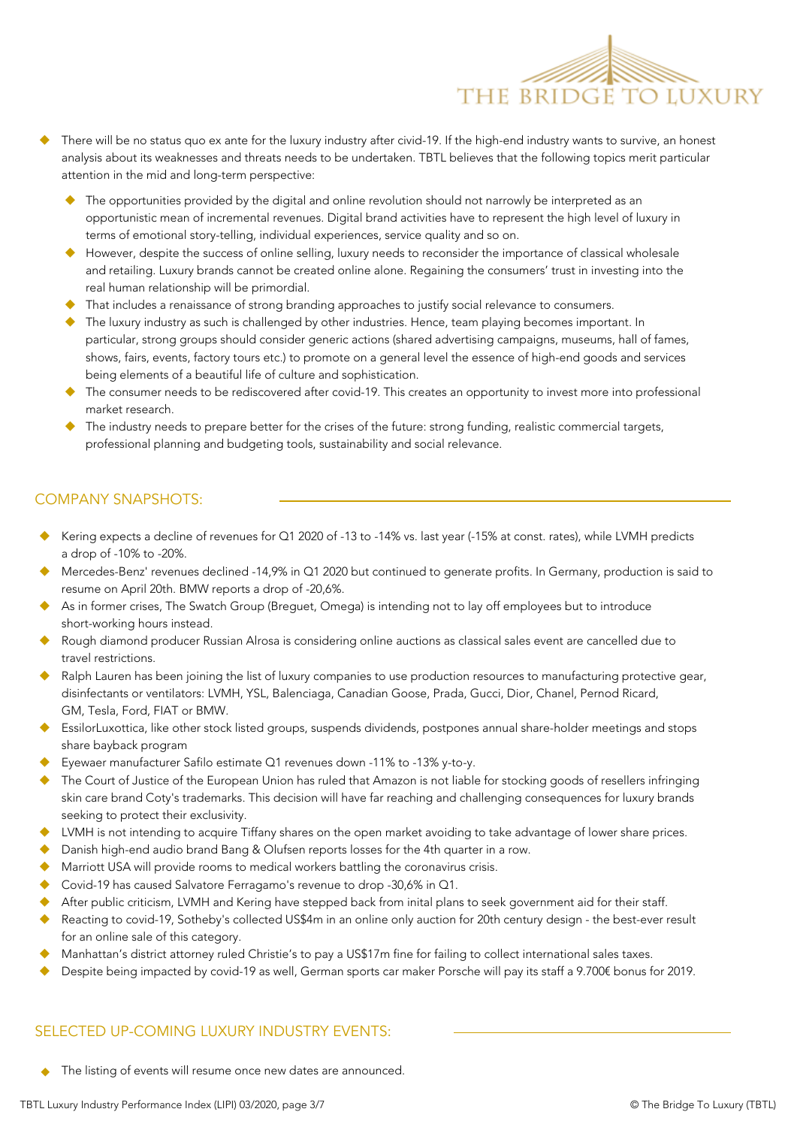

- There will be no status quo ex ante for the luxury industry after civid-19. If the high-end industry wants to survive, an honest analysis about its weaknesses and threats needs to be undertaken. TBTL believes that the following topics merit particular attention in the mid and long-term perspective:
	- $\blacklozenge$  The opportunities provided by the digital and online revolution should not narrowly be interpreted as an opportunistic mean of incremental revenues. Digital brand activities have to represent the high level of luxury in terms of emotional story-telling, individual experiences, service quality and so on.
	- However, despite the success of online selling, luxury needs to reconsider the importance of classical wholesale and retailing. Luxury brands cannot be created online alone. Regaining the consumers' trust in investing into the real human relationship will be primordial.
	- That includes a renaissance of strong branding approaches to justify social relevance to consumers.
	- The luxury industry as such is challenged by other industries. Hence, team playing becomes important. In particular, strong groups should consider generic actions (shared advertising campaigns, museums, hall of fames, shows, fairs, events, factory tours etc.) to promote on a general level the essence of high-end goods and services being elements of a beautiful life of culture and sophistication.
	- The consumer needs to be rediscovered after covid-19. This creates an opportunity to invest more into professional market research.
	- ◆ The industry needs to prepare better for the crises of the future: strong funding, realistic commercial targets, professional planning and budgeting tools, sustainability and social relevance.

#### COMPANY SNAPSHOTS:

- Kering expects a decline of revenues for Q1 2020 of -13 to -14% vs. last year (-15% at const. rates), while LVMH predicts a drop of -10% to -20%.
- Mercedes-Benz' revenues declined -14,9% in Q1 2020 but continued to generate profits. In Germany, production is said to resume on April 20th. BMW reports a drop of -20,6%.
- As in former crises, The Swatch Group (Breguet, Omega) is intending not to lay off employees but to introduce short-working hours instead.
- Rough diamond producer Russian Alrosa is considering online auctions as classical sales event are cancelled due to travel restrictions.
- Ralph Lauren has been joining the list of luxury companies to use production resources to manufacturing protective gear, disinfectants or ventilators: LVMH, YSL, Balenciaga, Canadian Goose, Prada, Gucci, Dior, Chanel, Pernod Ricard, GM, Tesla, Ford, FIAT or BMW.
- EssilorLuxottica, like other stock listed groups, suspends dividends, postpones annual share-holder meetings and stops share bayback program
- Eyewaer manufacturer Safilo estimate Q1 revenues down -11% to -13% y-to-y.
- ◆ The Court of Justice of the European Union has ruled that Amazon is not liable for stocking goods of resellers infringing skin care brand Coty's trademarks. This decision will have far reaching and challenging consequences for luxury brands seeking to protect their exclusivity.
- ◆ LVMH is not intending to acquire Tiffany shares on the open market avoiding to take advantage of lower share prices.
- Danish high-end audio brand Bang & Olufsen reports losses for the 4th quarter in a row.
- Marriott USA will provide rooms to medical workers battling the coronavirus crisis.
- Covid-19 has caused Salvatore Ferragamo's revenue to drop -30,6% in Q1.
- After public criticism, LVMH and Kering have stepped back from inital plans to seek government aid for their staff.
- Reacting to covid-19, Sotheby's collected US\$4m in an online only auction for 20th century design the best-ever result for an online sale of this category.
- Manhattan's district attorney ruled Christie's to pay a US\$17m fine for failing to collect international sales taxes.
- Despite being impacted by covid-19 as well, German sports car maker Porsche will pay its staff a 9.700€ bonus for 2019.

### SELECTED UP-COMING LUXURY INDUSTRY EVENTS:

The listing of events will resume once new dates are announced.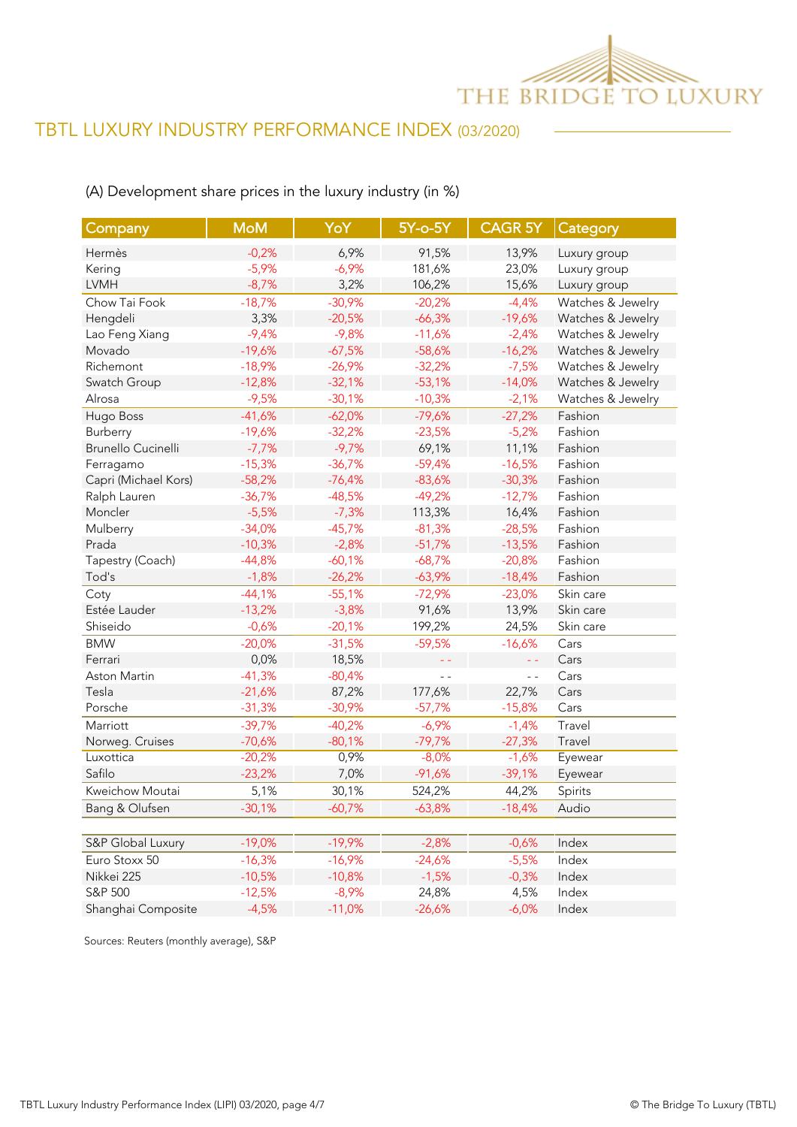

## (A) Development share prices in the luxury industry (in %)

| Company                   | <b>MoM</b> | YoY      | $5Y$ -o- $5Y$ |          | <b>CAGR 5Y Category</b> |
|---------------------------|------------|----------|---------------|----------|-------------------------|
| Hermès                    | $-0,2%$    | 6,9%     | 91,5%         | 13,9%    | Luxury group            |
| Kering                    | $-5,9%$    | $-6,9%$  | 181,6%        | 23,0%    | Luxury group            |
| <b>LVMH</b>               | $-8,7%$    | 3,2%     | 106,2%        | 15,6%    | Luxury group            |
| Chow Tai Fook             | $-18,7%$   | $-30,9%$ | $-20,2%$      | $-4,4%$  | Watches & Jewelry       |
| Hengdeli                  | 3,3%       | $-20,5%$ | $-66,3%$      | $-19,6%$ | Watches & Jewelry       |
| Lao Feng Xiang            | $-9,4%$    | $-9,8%$  | $-11,6%$      | $-2,4%$  | Watches & Jewelry       |
| Movado                    | $-19,6%$   | $-67,5%$ | $-58,6%$      | $-16,2%$ | Watches & Jewelry       |
| Richemont                 | $-18,9%$   | $-26,9%$ | $-32,2%$      | $-7,5%$  | Watches & Jewelry       |
| Swatch Group              | $-12,8%$   | $-32,1%$ | $-53,1%$      | $-14,0%$ | Watches & Jewelry       |
| Alrosa                    | $-9,5%$    | $-30,1%$ | $-10,3%$      | $-2,1%$  | Watches & Jewelry       |
| Hugo Boss                 | $-41,6%$   | $-62,0%$ | $-79,6%$      | $-27,2%$ | Fashion                 |
| Burberry                  | $-19,6%$   | $-32,2%$ | $-23,5%$      | $-5,2%$  | Fashion                 |
| <b>Brunello Cucinelli</b> | $-7,7%$    | $-9,7%$  | 69,1%         | 11,1%    | Fashion                 |
| Ferragamo                 | $-15,3%$   | $-36,7%$ | $-59,4%$      | $-16,5%$ | Fashion                 |
| Capri (Michael Kors)      | $-58,2%$   | $-76,4%$ | $-83,6%$      | $-30,3%$ | Fashion                 |
| Ralph Lauren              | $-36,7%$   | $-48,5%$ | $-49,2%$      | $-12,7%$ | Fashion                 |
| Moncler                   | $-5,5%$    | $-7,3%$  | 113,3%        | 16,4%    | Fashion                 |
| Mulberry                  | $-34,0%$   | $-45,7%$ | $-81,3%$      | $-28,5%$ | Fashion                 |
| Prada                     | $-10,3%$   | $-2,8%$  | $-51,7%$      | $-13,5%$ | Fashion                 |
| Tapestry (Coach)          | $-44,8%$   | $-60,1%$ | $-68,7%$      | $-20,8%$ | Fashion                 |
| Tod's                     | $-1,8%$    | $-26,2%$ | $-63,9%$      | $-18,4%$ | Fashion                 |
| Coty                      | $-44,1%$   | $-55,1%$ | $-72,9%$      | $-23,0%$ | Skin care               |
| Estée Lauder              | $-13,2%$   | $-3,8%$  | 91,6%         | 13,9%    | Skin care               |
| Shiseido                  | $-0,6%$    | $-20,1%$ | 199,2%        | 24,5%    | Skin care               |
| <b>BMW</b>                | $-20,0%$   | $-31,5%$ | $-59,5%$      | $-16,6%$ | Cars                    |
| Ferrari                   | 0,0%       | 18,5%    |               | 44       | Cars                    |
| Aston Martin              | $-41,3%$   | $-80,4%$ | $ -$          | $ -$     | Cars                    |
| Tesla                     | $-21,6%$   | 87,2%    | 177,6%        | 22,7%    | Cars                    |
| Porsche                   | $-31,3%$   | $-30,9%$ | $-57,7%$      | $-15,8%$ | Cars                    |
| Marriott                  | $-39,7%$   | $-40,2%$ | $-6,9%$       | $-1,4%$  | Travel                  |
| Norweg. Cruises           | $-70,6%$   | $-80,1%$ | $-79,7%$      | $-27,3%$ | Travel                  |
| Luxottica                 | $-20,2%$   | 0,9%     | $-8,0%$       | $-1,6%$  | Eyewear                 |
| Safilo                    | $-23,2%$   | 7,0%     | $-91,6%$      | $-39,1%$ | Eyewear                 |
| Kweichow Moutai           | 5,1%       | 30,1%    | 524,2%        | 44,2%    | Spirits                 |
| Bang & Olufsen            | $-30,1%$   | $-60,7%$ | $-63,8%$      | $-18,4%$ | Audio                   |
|                           |            |          |               |          |                         |
| S&P Global Luxury         | $-19,0%$   | $-19,9%$ | $-2,8%$       | $-0,6%$  | Index                   |
| Euro Stoxx 50             | $-16,3%$   | $-16,9%$ | $-24,6%$      | $-5,5%$  | Index                   |
| Nikkei 225                | $-10,5%$   | $-10,8%$ | $-1,5%$       | $-0,3%$  | Index                   |
| S&P 500                   | $-12,5%$   | $-8,9%$  | 24,8%         | 4,5%     | Index                   |
| Shanghai Composite        | $-4,5%$    | $-11,0%$ | $-26,6%$      | $-6,0%$  | Index                   |

Sources: Reuters (monthly average), S&P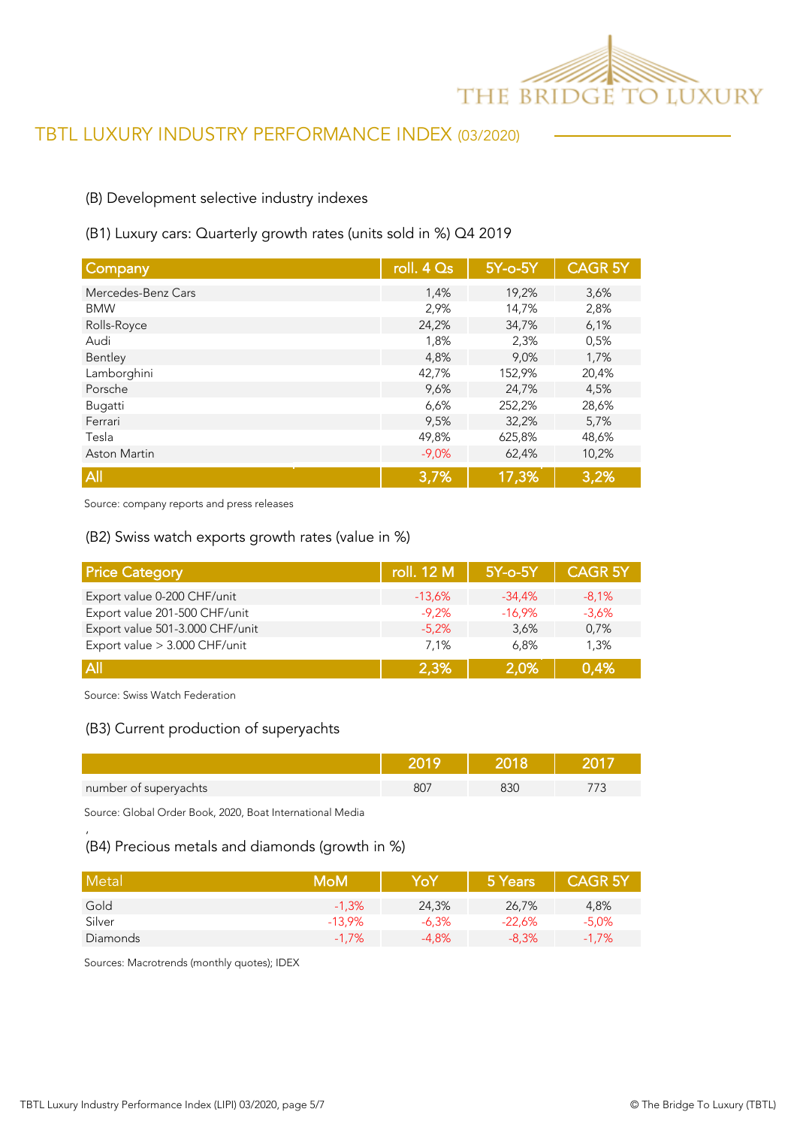

### (B) Development selective industry indexes

#### (B1) Luxury cars: Quarterly growth rates (units sold in %) Q4 2019

| Company            | roll. 4 Os | 5Y-o-5Y | <b>CAGR 5Y</b> |
|--------------------|------------|---------|----------------|
| Mercedes-Benz Cars | 1,4%       | 19,2%   | 3,6%           |
| <b>BMW</b>         | 2,9%       | 14,7%   | 2,8%           |
| Rolls-Royce        | 24,2%      | 34,7%   | 6,1%           |
| Audi               | 1,8%       | 2,3%    | 0,5%           |
| Bentley            | 4,8%       | 9,0%    | 1,7%           |
| Lamborghini        | 42,7%      | 152,9%  | 20,4%          |
| Porsche            | 9,6%       | 24,7%   | 4,5%           |
| Bugatti            | 6,6%       | 252,2%  | 28,6%          |
| Ferrari            | 9,5%       | 32,2%   | 5,7%           |
| Tesla              | 49,8%      | 625,8%  | 48,6%          |
| Aston Martin       | $-9,0%$    | 62,4%   | 10,2%          |
| All                | 3,7%       | 17,3%   | 3,2%           |

Source: company reports and press releases

#### (B2) Swiss watch exports growth rates (value in %)

| <b>Price Category</b>           | roll. 12 M | $5Y$ -o- $5Y$ | <b>CAGR 5Y</b> |
|---------------------------------|------------|---------------|----------------|
| Export value 0-200 CHF/unit     | $-13.6%$   | $-34.4%$      | $-8.1%$        |
| Export value 201-500 CHF/unit   | $-9.2%$    | $-16.9\%$     | $-3.6%$        |
| Export value 501-3.000 CHF/unit | $-5.2%$    | 3,6%          | 0,7%           |
| Export value > 3.000 CHF/unit   | 7.1%       | 6.8%          | 1.3%           |
| <b>All</b>                      | 2,3%       | 2.0%          | 0,4%           |

Source: Swiss Watch Federation

'

#### (B3) Current production of superyachts

| number of superyachts | ור |  |
|-----------------------|----|--|

Source: Global Order Book, 2020, Boat International Media

#### (B4) Precious metals and diamonds (growth in %)

| Metal    | MoM      | YoY     | 5 Years  | <b>CAGR 5Y</b> |
|----------|----------|---------|----------|----------------|
| Gold     | $-1,3%$  | 24,3%   | 26,7%    | 4,8%           |
| Silver   | $-13.9%$ | $-6,3%$ | $-22.6%$ | $-5.0%$        |
| Diamonds | $-1.7%$  | $-4,8%$ | $-8.3%$  | $-1,7%$        |

Sources: Macrotrends (monthly quotes); IDEX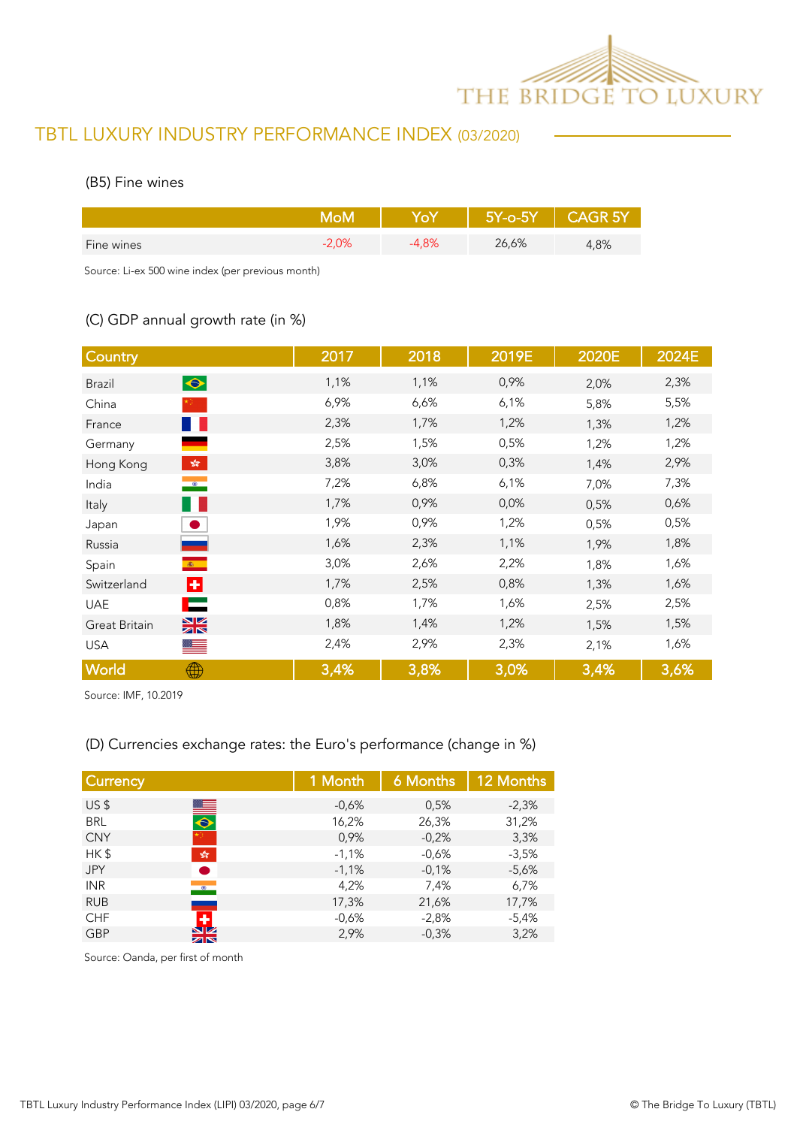

#### (B5) Fine wines

|            |         |      | $5Y$ -0-5 $\overline{Y}$ | CAGR <sub>5Y</sub> |
|------------|---------|------|--------------------------|--------------------|
| Fine wines | $2,0\%$ | 4.8% | 26,6%                    | .8%                |

Source: Li-ex 500 wine index (per previous month)

## (C) GDP annual growth rate (in %)

| Country                                   | 2017 | 2018 | 2019E | 2020E | 2024E |
|-------------------------------------------|------|------|-------|-------|-------|
| $\bullet$<br><b>Brazil</b>                | 1,1% | 1,1% | 0,9%  | 2,0%  | 2,3%  |
| China                                     | 6,9% | 6,6% | 6,1%  | 5,8%  | 5,5%  |
| France<br>n e s                           | 2,3% | 1,7% | 1,2%  | 1,3%  | 1,2%  |
| Germany                                   | 2,5% | 1,5% | 0,5%  | 1,2%  | 1,2%  |
| $\frac{\sqrt{3}}{2\sqrt{3}}$<br>Hong Kong | 3,8% | 3,0% | 0,3%  | 1,4%  | 2,9%  |
| $\bullet$<br>India                        | 7,2% | 6,8% | 6,1%  | 7,0%  | 7,3%  |
| Italy<br>. .                              | 1,7% | 0,9% | 0,0%  | 0,5%  | 0,6%  |
| Japan                                     | 1,9% | 0,9% | 1,2%  | 0,5%  | 0,5%  |
| Russia                                    | 1,6% | 2,3% | 1,1%  | 1,9%  | 1,8%  |
| $\langle \Phi \rangle$ .<br>Spain         | 3,0% | 2,6% | 2,2%  | 1,8%  | 1,6%  |
| H.<br>Switzerland                         | 1,7% | 2,5% | 0,8%  | 1,3%  | 1,6%  |
| Е<br><b>UAE</b>                           | 0,8% | 1,7% | 1,6%  | 2,5%  | 2,5%  |
| $\frac{N}{N}$<br>Great Britain            | 1,8% | 1,4% | 1,2%  | 1,5%  | 1,5%  |
| <b>USA</b><br><u>se</u>                   | 2,4% | 2,9% | 2,3%  | 2,1%  | 1,6%  |
| World<br>∰                                | 3,4% | 3,8% | 3,0%  | 3,4%  | 3,6%  |

Source: IMF, 10.2019

### (D) Currencies exchange rates: the Euro's performance (change in %)

| <b>Currency</b> |                              | 1 Month | 6 Months | 12 Months |
|-----------------|------------------------------|---------|----------|-----------|
| US <sub>5</sub> |                              | $-0.6%$ | 0,5%     | $-2,3%$   |
| <b>BRL</b>      | $\blacksquare$               | 16,2%   | 26,3%    | 31,2%     |
| <b>CNY</b>      |                              | 0,9%    | $-0.2%$  | 3,3%      |
| HK\$            | $\frac{\sqrt{3}}{2\sqrt{3}}$ | $-1,1%$ | $-0,6%$  | $-3,5%$   |
| <b>JPY</b>      |                              | $-1,1%$ | $-0.1%$  | $-5.6%$   |
| <b>INR</b>      | $\bullet$                    | 4,2%    | 7,4%     | 6,7%      |
| <b>RUB</b>      |                              | 17,3%   | 21,6%    | 17,7%     |
| <b>CHF</b>      |                              | $-0,6%$ | $-2,8%$  | $-5.4%$   |
| <b>GBP</b>      | NZ.<br>ZN                    | 2,9%    | $-0,3%$  | 3,2%      |
|                 |                              |         |          |           |

Source: Oanda, per first of month